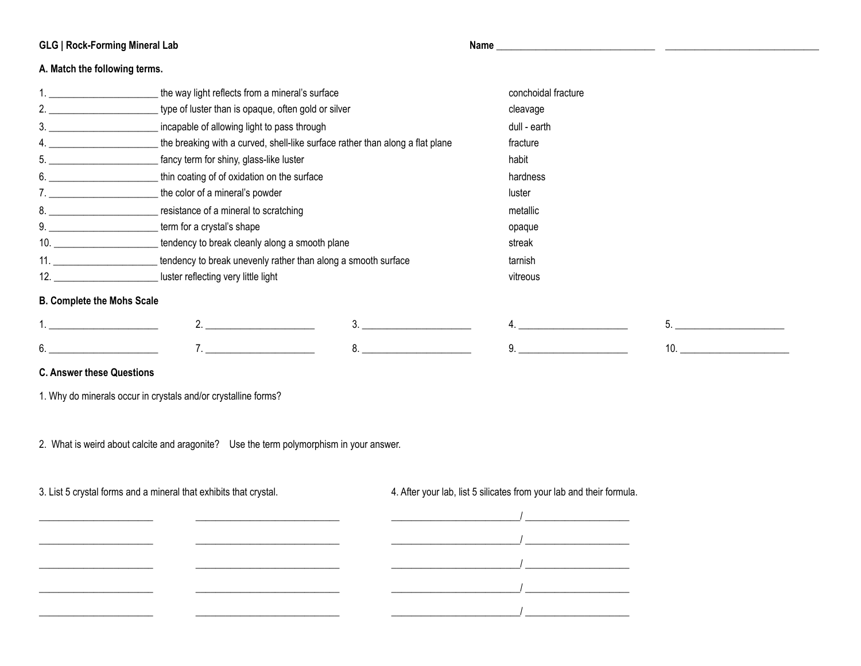## **GLG | Rock-Forming Mineral Lab Name \_\_\_\_\_\_\_\_\_\_\_\_\_\_\_\_\_\_\_\_\_\_\_\_\_\_\_\_\_\_\_\_ \_\_\_\_\_\_\_\_\_\_\_\_\_\_\_\_\_\_\_\_\_\_\_\_\_\_\_\_\_\_\_**

## **A. Match the following terms.**

| 2.<br>type of luster than is opaque, often gold or silver<br>cleavage<br>3.<br>incapable of allowing light to pass through<br>dull - earth<br>4.<br>the breaking with a curved, shell-like surface rather than along a flat plane<br>fracture<br>5.<br>fancy term for shiny, glass-like luster<br>habit<br>6.<br>thin coating of of oxidation on the surface<br>hardness<br>7.<br>the color of a mineral's powder<br>luster<br>8.<br>resistance of a mineral to scratching<br>metallic<br>9.<br>term for a crystal's shape<br>opaque<br>10.<br>tendency to break cleanly along a smooth plane<br>streak<br>11.<br>tendency to break unevenly rather than along a smooth surface<br>tarnish<br>12.<br>luster reflecting very little light<br>vitreous<br><b>B. Complete the Mohs Scale</b><br>5.<br>6.<br>10. | the way light reflects from a mineral's surface | conchoidal fracture |  |
|--------------------------------------------------------------------------------------------------------------------------------------------------------------------------------------------------------------------------------------------------------------------------------------------------------------------------------------------------------------------------------------------------------------------------------------------------------------------------------------------------------------------------------------------------------------------------------------------------------------------------------------------------------------------------------------------------------------------------------------------------------------------------------------------------------------|-------------------------------------------------|---------------------|--|
|                                                                                                                                                                                                                                                                                                                                                                                                                                                                                                                                                                                                                                                                                                                                                                                                              |                                                 |                     |  |
|                                                                                                                                                                                                                                                                                                                                                                                                                                                                                                                                                                                                                                                                                                                                                                                                              |                                                 |                     |  |
|                                                                                                                                                                                                                                                                                                                                                                                                                                                                                                                                                                                                                                                                                                                                                                                                              |                                                 |                     |  |
|                                                                                                                                                                                                                                                                                                                                                                                                                                                                                                                                                                                                                                                                                                                                                                                                              |                                                 |                     |  |
|                                                                                                                                                                                                                                                                                                                                                                                                                                                                                                                                                                                                                                                                                                                                                                                                              |                                                 |                     |  |
|                                                                                                                                                                                                                                                                                                                                                                                                                                                                                                                                                                                                                                                                                                                                                                                                              |                                                 |                     |  |
|                                                                                                                                                                                                                                                                                                                                                                                                                                                                                                                                                                                                                                                                                                                                                                                                              |                                                 |                     |  |
|                                                                                                                                                                                                                                                                                                                                                                                                                                                                                                                                                                                                                                                                                                                                                                                                              |                                                 |                     |  |
|                                                                                                                                                                                                                                                                                                                                                                                                                                                                                                                                                                                                                                                                                                                                                                                                              |                                                 |                     |  |
|                                                                                                                                                                                                                                                                                                                                                                                                                                                                                                                                                                                                                                                                                                                                                                                                              |                                                 |                     |  |
|                                                                                                                                                                                                                                                                                                                                                                                                                                                                                                                                                                                                                                                                                                                                                                                                              |                                                 |                     |  |
|                                                                                                                                                                                                                                                                                                                                                                                                                                                                                                                                                                                                                                                                                                                                                                                                              |                                                 |                     |  |
|                                                                                                                                                                                                                                                                                                                                                                                                                                                                                                                                                                                                                                                                                                                                                                                                              |                                                 |                     |  |
|                                                                                                                                                                                                                                                                                                                                                                                                                                                                                                                                                                                                                                                                                                                                                                                                              |                                                 |                     |  |

## **C. Answer these Questions**

1. Why do minerals occur in crystals and/or crystalline forms?

2. What is weird about calcite and aragonite? Use the term polymorphism in your answer.

3. List 5 crystal forms and a mineral that exhibits that crystal. 4. After your lab, list 5 silicates from your lab and their formula.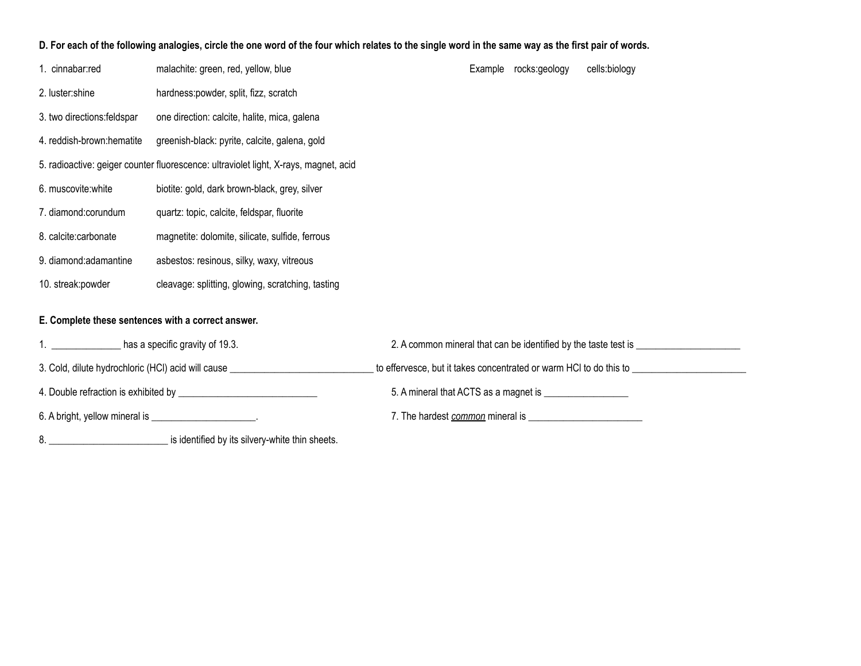## **D. For each of the following analogies, circle the one word of the four which relates to the single word in the same way as the first pair of words.**

| 1. cinnabar:red                                                                  | malachite: green, red, yellow, blue                                                  |  | Example rocks:geology | cells:biology                                                                    |  |
|----------------------------------------------------------------------------------|--------------------------------------------------------------------------------------|--|-----------------------|----------------------------------------------------------------------------------|--|
| 2. luster:shine                                                                  | hardness: powder, split, fizz, scratch                                               |  |                       |                                                                                  |  |
| 3. two directions: feldspar                                                      | one direction: calcite, halite, mica, galena                                         |  |                       |                                                                                  |  |
| 4. reddish-brown:hematite                                                        | greenish-black: pyrite, calcite, galena, gold                                        |  |                       |                                                                                  |  |
|                                                                                  | 5. radioactive: geiger counter fluorescence: ultraviolet light, X-rays, magnet, acid |  |                       |                                                                                  |  |
| 6. muscovite: white                                                              | biotite: gold, dark brown-black, grey, silver                                        |  |                       |                                                                                  |  |
| 7. diamond:corundum                                                              | quartz: topic, calcite, feldspar, fluorite                                           |  |                       |                                                                                  |  |
| 8. calcite:carbonate                                                             | magnetite: dolomite, silicate, sulfide, ferrous                                      |  |                       |                                                                                  |  |
| 9. diamond: adamantine                                                           | asbestos: resinous, silky, waxy, vitreous                                            |  |                       |                                                                                  |  |
| 10. streak: powder                                                               | cleavage: splitting, glowing, scratching, tasting                                    |  |                       |                                                                                  |  |
| E. Complete these sentences with a correct answer.                               |                                                                                      |  |                       |                                                                                  |  |
|                                                                                  | has a specific gravity of 19.3.                                                      |  |                       | 2. A common mineral that can be identified by the taste test is ________________ |  |
| 3. Cold, dilute hydrochloric (HCl) acid will cause _____________________________ |                                                                                      |  |                       |                                                                                  |  |
|                                                                                  |                                                                                      |  |                       |                                                                                  |  |
| 6. A bright, yellow mineral is ________________________.                         |                                                                                      |  |                       |                                                                                  |  |

8. \_\_\_\_\_\_\_\_\_\_\_\_\_\_\_\_\_\_\_\_\_\_\_\_ is identified by its silvery-white thin sheets.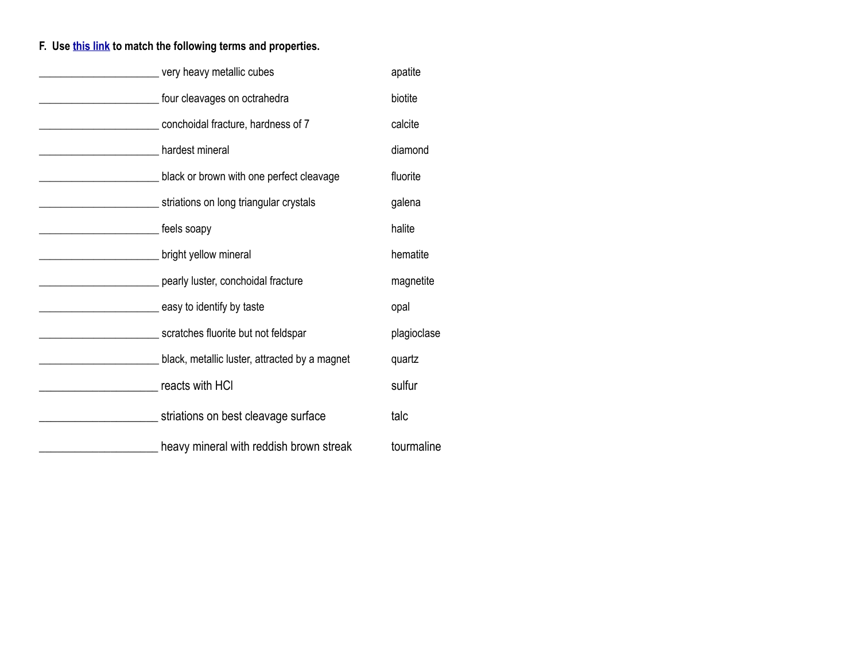# **F. Use [this link](http://softpath.org/GLG/Labs/MineralRockGuide.pdf) to match the following terms and properties.**

|                                               | very heavy metallic cubes                     | apatite     |
|-----------------------------------------------|-----------------------------------------------|-------------|
|                                               | four cleavages on octrahedra                  | biotite     |
|                                               | conchoidal fracture, hardness of 7            | calcite     |
| hardest mineral                               |                                               | diamond     |
|                                               | black or brown with one perfect cleavage      | fluorite    |
|                                               | striations on long triangular crystals        | galena      |
| <b>EXAMPLE 1999</b> Feels soapy               |                                               | halite      |
|                                               | bright yellow mineral                         | hematite    |
|                                               | pearly luster, conchoidal fracture            | magnetite   |
|                                               | easy to identify by taste                     | opal        |
|                                               | scratches fluorite but not feldspar           | plagioclase |
|                                               | black, metallic luster, attracted by a magnet | quartz      |
| <b>No. 2. The Contract Contracts with HCI</b> |                                               | sulfur      |
|                                               | striations on best cleavage surface           | talc        |
|                                               | heavy mineral with reddish brown streak       | tourmaline  |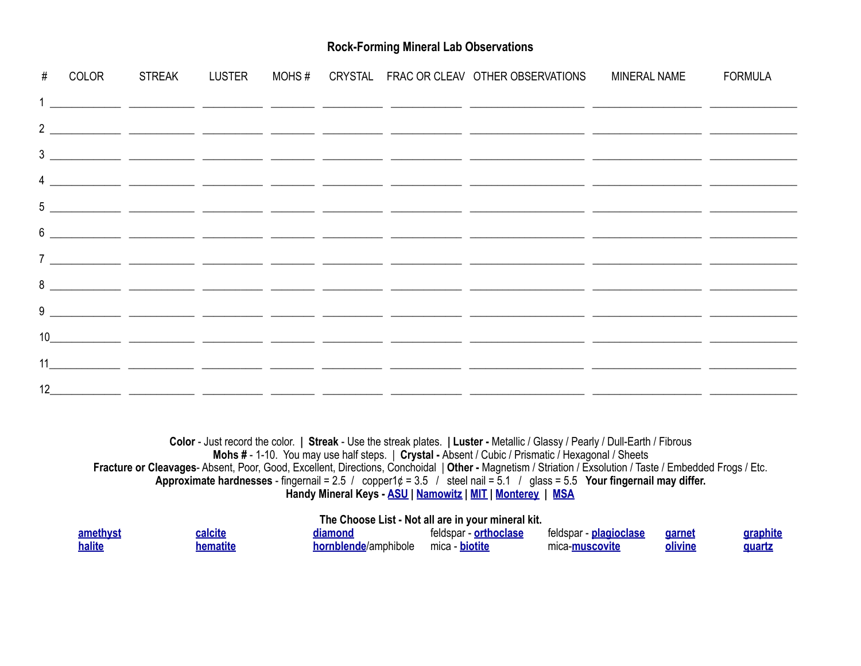## **Rock-Forming Mineral Lab Observations**

|  |  |  | # COLOR STREAK LUSTER MOHS # CRYSTAL FRAC OR CLEAV OTHER OBSERVATIONS MINERAL NAME FORMULA                                                                                                                                        |  |
|--|--|--|-----------------------------------------------------------------------------------------------------------------------------------------------------------------------------------------------------------------------------------|--|
|  |  |  |                                                                                                                                                                                                                                   |  |
|  |  |  |                                                                                                                                                                                                                                   |  |
|  |  |  |                                                                                                                                                                                                                                   |  |
|  |  |  | $\frac{4}{1}$ . The contract of the contract of the contract of the contract of the contract of the contract of the contract of the contract of the contract of the contract of the contract of the contract of the contract of t |  |
|  |  |  |                                                                                                                                                                                                                                   |  |
|  |  |  |                                                                                                                                                                                                                                   |  |
|  |  |  |                                                                                                                                                                                                                                   |  |
|  |  |  |                                                                                                                                                                                                                                   |  |
|  |  |  |                                                                                                                                                                                                                                   |  |
|  |  |  |                                                                                                                                                                                                                                   |  |
|  |  |  |                                                                                                                                                                                                                                   |  |
|  |  |  |                                                                                                                                                                                                                                   |  |

**Color** - Just record the color. **| Streak** - Use the streak plates. **| Luster -** Metallic / Glassy / Pearly / Dull-Earth / Fibrous **Mohs #** - 1-10. You may use half steps. | **Crystal -** Absent / Cubic / Prismatic / Hexagonal / Sheets **Fracture or Cleavages**- Absent, Poor, Good, Excellent, Directions, Conchoidal | **Other -** Magnetism / Striation / Exsolution / Taste / Embedded Frogs / Etc. **Approximate hardnesses** - fingernail = 2.5 / copper1¢ = 3.5 / steel nail = 5.1 / glass = 5.5 **Your fingernail may differ. Handy Mineral Keys - [ASU](http://softpath.org/GLG/Labs/ASUMineralKey.pdf) | [Namowitz](http://softpath.org/GLG/Labs/MineralRockGuide.pdf) | [MIT](http://softpath.org/GLG/Labs/MITMineral.pdf) | [Monterey](http://softpath.org/GLG/Labs/MontereyMineral.pdf) | [MSA](http://www.minsocam.org/msa/collectors_corner/id/mineral_id_keytiib1.htm)**

## **The Choose List - Not all are in your mineral kit.**

| <u>amethyst</u> | calcite | liamond              | - orthoclase<br>teldspar | feldspar - <b>plagioclase</b> | <u>garnet</u> | raphite     |
|-----------------|---------|----------------------|--------------------------|-------------------------------|---------------|-------------|
| halite          |         | hornblende/amphibole | – biotitr<br>mica        | mica- <b>muscovite</b>        | olivine       | <b>guar</b> |